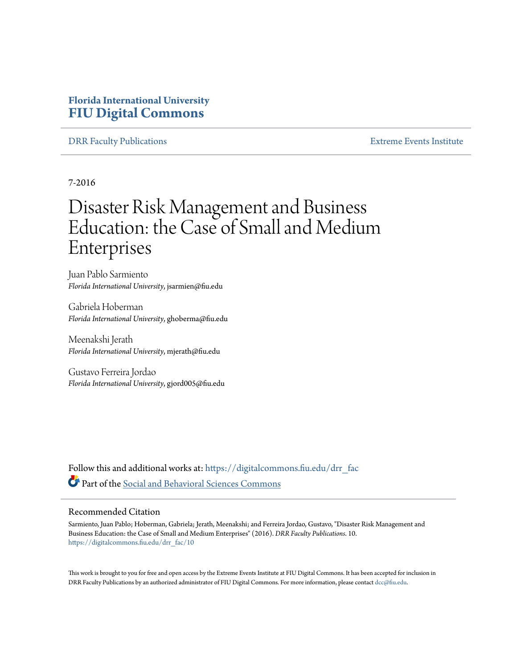# **Florida International University [FIU Digital Commons](https://digitalcommons.fiu.edu?utm_source=digitalcommons.fiu.edu%2Fdrr_fac%2F10&utm_medium=PDF&utm_campaign=PDFCoverPages)**

# [DRR Faculty Publications](https://digitalcommons.fiu.edu/drr_fac?utm_source=digitalcommons.fiu.edu%2Fdrr_fac%2F10&utm_medium=PDF&utm_campaign=PDFCoverPages) [Extreme Events Institute](https://digitalcommons.fiu.edu/drr?utm_source=digitalcommons.fiu.edu%2Fdrr_fac%2F10&utm_medium=PDF&utm_campaign=PDFCoverPages)

7-2016

# Disaster Risk Management and Business Education: the Case of Small and Medium Enterprises

Juan Pablo Sarmiento *Florida International University*, jsarmien@fiu.edu

Gabriela Hoberman *Florida International University*, ghoberma@fiu.edu

Meenakshi Jerath *Florida International University*, mjerath@fiu.edu

Gustavo Ferreira Jordao *Florida International University*, gjord005@fiu.edu

Follow this and additional works at: [https://digitalcommons.fiu.edu/drr\\_fac](https://digitalcommons.fiu.edu/drr_fac?utm_source=digitalcommons.fiu.edu%2Fdrr_fac%2F10&utm_medium=PDF&utm_campaign=PDFCoverPages) Part of the [Social and Behavioral Sciences Commons](http://network.bepress.com/hgg/discipline/316?utm_source=digitalcommons.fiu.edu%2Fdrr_fac%2F10&utm_medium=PDF&utm_campaign=PDFCoverPages)

# Recommended Citation

Sarmiento, Juan Pablo; Hoberman, Gabriela; Jerath, Meenakshi; and Ferreira Jordao, Gustavo, "Disaster Risk Management and Business Education: the Case of Small and Medium Enterprises" (2016). *DRR Faculty Publications*. 10. [https://digitalcommons.fiu.edu/drr\\_fac/10](https://digitalcommons.fiu.edu/drr_fac/10?utm_source=digitalcommons.fiu.edu%2Fdrr_fac%2F10&utm_medium=PDF&utm_campaign=PDFCoverPages)

This work is brought to you for free and open access by the Extreme Events Institute at FIU Digital Commons. It has been accepted for inclusion in DRR Faculty Publications by an authorized administrator of FIU Digital Commons. For more information, please contact [dcc@fiu.edu.](mailto:dcc@fiu.edu)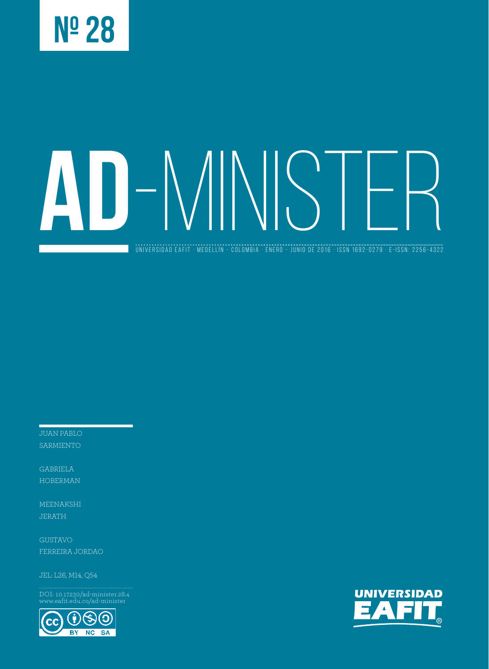

# **AD**-MINISTER

universidad eafit · medellín - colombia · ENERO - JUNIO de 2016 · ISSN 1692-0279 · e-ISSN: 2256-4322

JUAN PABLO

GABRIELA HOBERMAN

MEENAKSHI JERATH

GUSTAVO FERREIRA JORDAO

JEL: L26, M14, Q54

DOI: 10.17230/ad-minister.28.4 www.eafit.edu.co/ad-minister



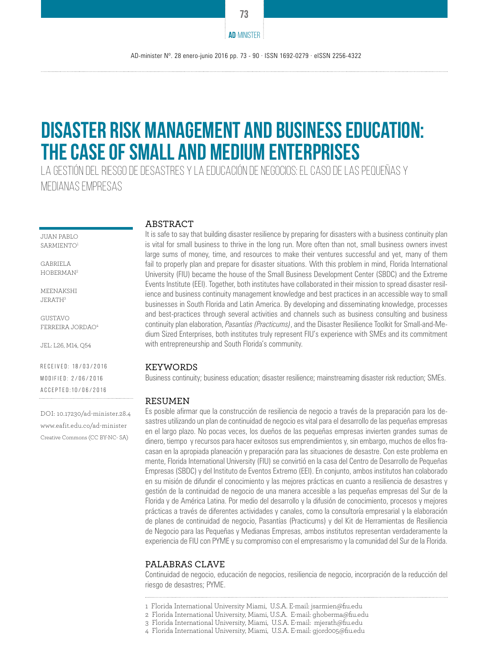# **Disaster Risk Management and Business Education: the Case of Small and Medium Enterprises**

La Gestión del Riesgo de Desastres y la Educación de Negocios: el caso de las pequeñas y medianas empresas

JUAN PABLO SARMIENTO1

GABRIELA HOBERMAN2

MEENAKSHI JERATH3

GUSTAVO FERREIRA JORDAO4

JEL: L26, M14, Q54

Received: 18/03/2016 Modified: 2/06/2016 Accepted:10/06/2016

DOI: 10.17230/ad-minister.28.4 www.eafit.edu.co/ad-minister Creative Commons (CC BY-NC- SA)

#### ABSTRACT

It is safe to say that building disaster resilience by preparing for disasters with a business continuity plan is vital for small business to thrive in the long run. More often than not, small business owners invest large sums of money, time, and resources to make their ventures successful and yet, many of them fail to properly plan and prepare for disaster situations. With this problem in mind, Florida International University (FIU) became the house of the Small Business Development Center (SBDC) and the Extreme Events Institute (EEI). Together, both institutes have collaborated in their mission to spread disaster resilience and business continuity management knowledge and best practices in an accessible way to small businesses in South Florida and Latin America. By developing and disseminating knowledge, processes and best-practices through several activities and channels such as business consulting and business continuity plan elaboration, *Pasantías (Practicums)*, and the Disaster Resilience Toolkit for Small-and-Medium Sized Enterprises, both institutes truly represent FIU's experience with SMEs and its commitment with entrepreneurship and South Florida's community.

#### **KEYWORDS**

Business continuity; business education; disaster resilience; mainstreaming disaster risk reduction; SMEs.

#### **RESUMEN**

Es posible afirmar que la construcción de resiliencia de negocio a través de la preparación para los desastres utilizando un plan de continuidad de negocio es vital para el desarrollo de las pequeñas empresas en el largo plazo. No pocas veces, los dueños de las pequeñas empresas invierten grandes sumas de dinero, tiempo y recursos para hacer exitosos sus emprendimientos y, sin embargo, muchos de ellos fracasan en la apropiada planeación y preparación para las situaciones de desastre. Con este problema en mente, Florida International University (FIU) se convirtió en la casa del Centro de Desarrollo de Pequeñas Empresas (SBDC) y del Instituto de Eventos Extremo (EEI). En conjunto, ambos institutos han colaborado en su misión de difundir el conocimiento y las mejores prácticas en cuanto a resiliencia de desastres y gestión de la continuidad de negocio de una manera accesible a las pequeñas empresas del Sur de la Florida y de América Latina. Por medio del desarrollo y la difusión de conocimiento, procesos y mejores prácticas a través de diferentes actividades y canales, como la consultoría empresarial y la elaboración de planes de continuidad de negocio, Pasantías (Practicums) y del Kit de Herramientas de Resiliencia de Negocio para las Pequeñas y Medianas Empresas, ambos institutos representan verdaderamente la experiencia de FIU con PYME y su compromiso con el empresarismo y la comunidad del Sur de la Florida.

#### PALABRAS CLAVE

Continuidad de negocio, educación de negocios, resiliencia de negocio, incorpración de la reducción del riesgo de desastres; PYME.

4 Florida International University, Miami, U.S.A. E-mail: gjord005@fiu.edu

**73**

**AD**-MINISTER

<sup>1</sup> Florida International University Miami, U.S.A. E-mail: jsarmien@fiu.edu

<sup>2</sup> Florida International University, Miami, U.S.A. E-mail: ghoberma@fiu.edu

<sup>3</sup> Florida International University, Miami, U.S.A. E-mail: mjerath@fiu.edu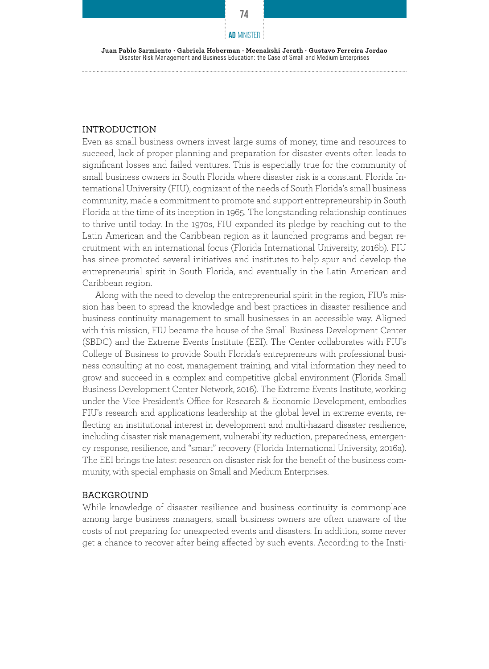#### **AD**-MINISTER

**Juan Pablo Sarmiento · Gabriela Hoberman · Meenakshi Jerath · Gustavo Ferreira Jordao**  Disaster Risk Management and Business Education: the Case of Small and Medium Enterprises

## INTRODUCTION

Even as small business owners invest large sums of money, time and resources to succeed, lack of proper planning and preparation for disaster events often leads to significant losses and failed ventures. This is especially true for the community of small business owners in South Florida where disaster risk is a constant. Florida International University (FIU), cognizant of the needs of South Florida's small business community, made a commitment to promote and support entrepreneurship in South Florida at the time of its inception in 1965. The longstanding relationship continues to thrive until today. In the 1970s, FIU expanded its pledge by reaching out to the Latin American and the Caribbean region as it launched programs and began recruitment with an international focus (Florida International University, 2016b). FIU has since promoted several initiatives and institutes to help spur and develop the entrepreneurial spirit in South Florida, and eventually in the Latin American and Caribbean region.

Along with the need to develop the entrepreneurial spirit in the region, FIU's mission has been to spread the knowledge and best practices in disaster resilience and business continuity management to small businesses in an accessible way. Aligned with this mission, FIU became the house of the Small Business Development Center (SBDC) and the Extreme Events Institute (EEI). The Center collaborates with FIU's College of Business to provide South Florida's entrepreneurs with professional business consulting at no cost, management training, and vital information they need to grow and succeed in a complex and competitive global environment (Florida Small Business Development Center Network, 2016). The Extreme Events Institute, working under the Vice President's Office for Research & Economic Development, embodies FIU's research and applications leadership at the global level in extreme events, reflecting an institutional interest in development and multi-hazard disaster resilience, including disaster risk management, vulnerability reduction, preparedness, emergency response, resilience, and "smart" recovery (Florida International University, 2016a). The EEI brings the latest research on disaster risk for the benefit of the business community, with special emphasis on Small and Medium Enterprises.

## BACKGROUND

While knowledge of disaster resilience and business continuity is commonplace among large business managers, small business owners are often unaware of the costs of not preparing for unexpected events and disasters. In addition, some never get a chance to recover after being affected by such events. According to the Insti-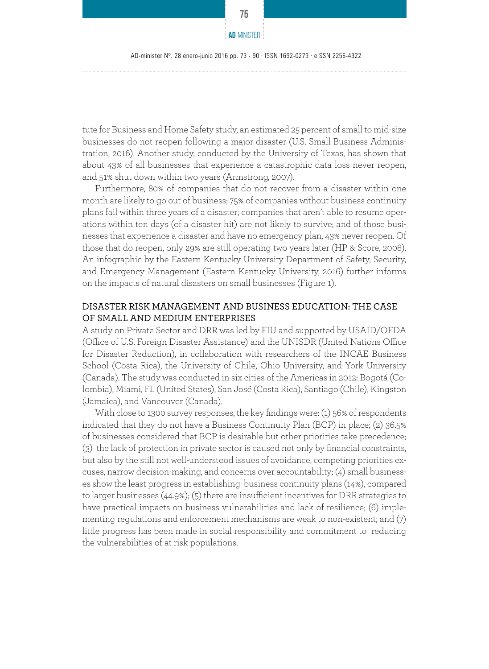

tute for Business and Home Safety study, an estimated 25 percent of small to mid-size businesses do not reopen following a major disaster (U.S. Small Business Administration, 2016). Another study, conducted by the University of Texas, has shown that about 43% of all businesses that experience a catastrophic data loss never reopen, and 51% shut down within two years (Armstrong, 2007).

Furthermore, 80% of companies that do not recover from a disaster within one month are likely to go out of business; 75% of companies without business continuity plans fail within three years of a disaster; companies that aren't able to resume operations within ten days (of a disaster hit) are not likely to survive; and of those businesses that experience a disaster and have no emergency plan, 43% never reopen. Of those that do reopen, only 29% are still operating two years later (HP & Score, 2008). An infographic by the Eastern Kentucky University Department of Safety, Security, and Emergency Management (Eastern Kentucky University, 2016) further informs on the impacts of natural disasters on small businesses (Figure 1).

# DISASTER RISK MANAGEMENT AND BUSINESS EDUCATION: THE CASE OF SMALL AND MEDIUM ENTERPRISES

A study on Private Sector and DRR was led by FIU and supported by USAID/OFDA (Office of U.S. Foreign Disaster Assistance) and the UNISDR (United Nations Office for Disaster Reduction), in collaboration with researchers of the INCAE Business School (Costa Rica), the University of Chile, Ohio University, and York University (Canada). The study was conducted in six cities of the Americas in 2012: Bogotá (Colombia), Miami, FL (United States), San José (Costa Rica), Santiago (Chile), Kingston (Jamaica), and Vancouver (Canada).

With close to 1300 survey responses, the key findings were: (1) 56% of respondents indicated that they do not have a Business Continuity Plan (BCP) in place; (2) 36.5% of businesses considered that BCP is desirable but other priorities take precedence; (3) the lack of protection in private sector is caused not only by financial constraints, but also by the still not well-understood issues of avoidance, competing priorities excuses, narrow decision-making, and concerns over accountability; (4) small businesses show the least progress in establishing business continuity plans (14%), compared to larger businesses (44.9%); (5) there are insufficient incentives for DRR strategies to have practical impacts on business vulnerabilities and lack of resilience; (6) implementing regulations and enforcement mechanisms are weak to non-existent; and (7) little progress has been made in social responsibility and commitment to reducing the vulnerabilities of at risk populations.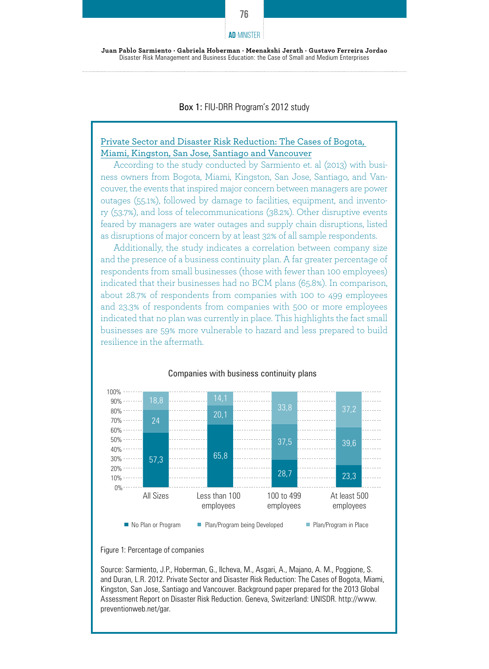#### Box 1: FIU-DRR Program's 2012 study

# Private Sector and Disaster Risk Reduction: The Cases of Bogota, Miami, Kingston, San Jose, Santiago and Vancouver

According to the study conducted by Sarmiento et. al (2013) with business owners from Bogota, Miami, Kingston, San Jose, Santiago, and Vancouver, the events that inspired major concern between managers are power outages (55.1%), followed by damage to facilities, equipment, and inventory (53.7%), and loss of telecommunications (38.2%). Other disruptive events feared by managers are water outages and supply chain disruptions, listed as disruptions of major concern by at least 32% of all sample respondents.

Additionally, the study indicates a correlation between company size and the presence of a business continuity plan. A far greater percentage of respondents from small businesses (those with fewer than 100 employees) indicated that their businesses had no BCM plans (65.8%). In comparison, about 28.7% of respondents from companies with 100 to 499 employees and 23.3% of respondents from companies with 500 or more employees indicated that no plan was currently in place. This highlights the fact small businesses are 59% more vulnerable to hazard and less prepared to build resilience in the aftermath.



#### Companies with business continuity plans

Source: Sarmiento, J.P., Hoberman, G., Ilcheva, M., Asgari, A., Majano, A. M., Poggione, S. and Duran, L.R. 2012. Private Sector and Disaster Risk Reduction: The Cases of Bogota, Miami, Kingston, San Jose, Santiago and Vancouver. Background paper prepared for the 2013 Global Assessment Report on Disaster Risk Reduction. Geneva, Switzerland: UNISDR. http://www. preventionweb.net/gar.

**76**

**AD**-MINISTER

Figure 1: Percentage of companies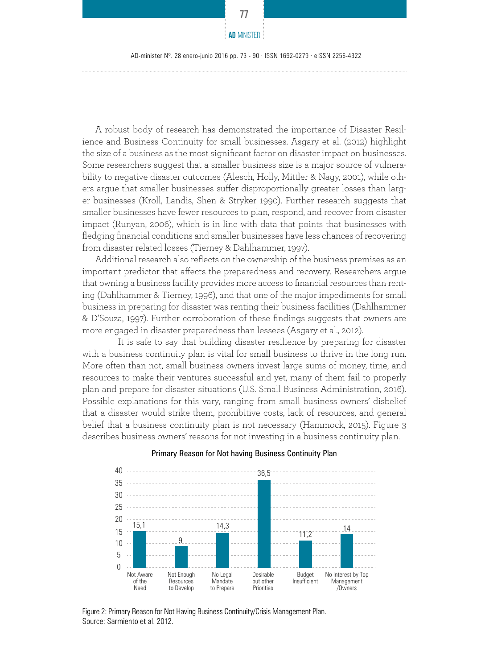A robust body of research has demonstrated the importance of Disaster Resilience and Business Continuity for small businesses. Asgary et al. (2012) highlight the size of a business as the most significant factor on disaster impact on businesses. Some researchers suggest that a smaller business size is a major source of vulnerability to negative disaster outcomes (Alesch, Holly, Mittler & Nagy, 2001), while others argue that smaller businesses suffer disproportionally greater losses than larger businesses (Kroll, Landis, Shen & Stryker 1990). Further research suggests that smaller businesses have fewer resources to plan, respond, and recover from disaster impact (Runyan, 2006), which is in line with data that points that businesses with fledging financial conditions and smaller businesses have less chances of recovering from disaster related losses (Tierney & Dahlhammer, 1997).

Additional research also reflects on the ownership of the business premises as an important predictor that affects the preparedness and recovery. Researchers argue that owning a business facility provides more access to financial resources than renting (Dahlhammer & Tierney, 1996), and that one of the major impediments for small business in preparing for disaster was renting their business facilities (Dahlhammer & D'Souza, 1997). Further corroboration of these findings suggests that owners are more engaged in disaster preparedness than lessees (Asgary et al., 2012).

 It is safe to say that building disaster resilience by preparing for disaster with a business continuity plan is vital for small business to thrive in the long run. More often than not, small business owners invest large sums of money, time, and resources to make their ventures successful and yet, many of them fail to properly plan and prepare for disaster situations (U.S. Small Business Administration, 2016). Possible explanations for this vary, ranging from small business owners' disbelief that a disaster would strike them, prohibitive costs, lack of resources, and general belief that a business continuity plan is not necessary (Hammock, 2015). Figure 3 describes business owners' reasons for not investing in a business continuity plan.



#### Primary Reason for Not having Business Continuity Plan

Figure 2: Primary Reason for Not Having Business Continuity/Crisis Management Plan. Source: Sarmiento et al. 2012.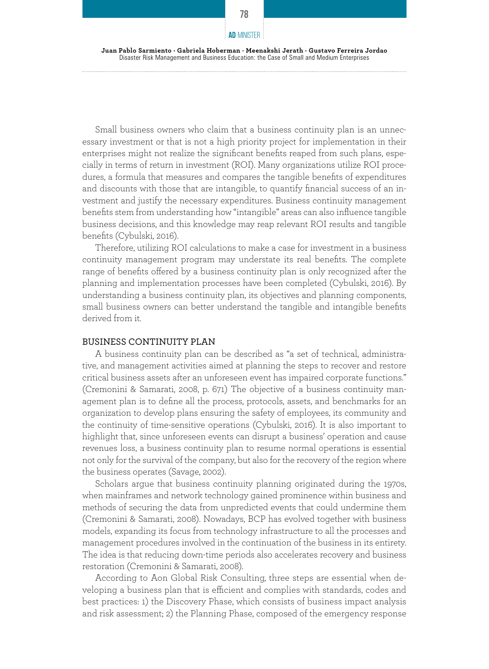Small business owners who claim that a business continuity plan is an unnecessary investment or that is not a high priority project for implementation in their enterprises might not realize the significant benefits reaped from such plans, especially in terms of return in investment (ROI). Many organizations utilize ROI procedures, a formula that measures and compares the tangible benefits of expenditures and discounts with those that are intangible, to quantify financial success of an investment and justify the necessary expenditures. Business continuity management benefits stem from understanding how "intangible" areas can also influence tangible business decisions, and this knowledge may reap relevant ROI results and tangible benefits (Cybulski, 2016).

Therefore, utilizing ROI calculations to make a case for investment in a business continuity management program may understate its real benefits. The complete range of benefits offered by a business continuity plan is only recognized after the planning and implementation processes have been completed (Cybulski, 2016). By understanding a business continuity plan, its objectives and planning components, small business owners can better understand the tangible and intangible benefits derived from it.

#### BUSINESS CONTINUITY PLAN

A business continuity plan can be described as "a set of technical, administrative, and management activities aimed at planning the steps to recover and restore critical business assets after an unforeseen event has impaired corporate functions." (Cremonini & Samarati, 2008, p. 671) The objective of a business continuity management plan is to define all the process, protocols, assets, and benchmarks for an organization to develop plans ensuring the safety of employees, its community and the continuity of time-sensitive operations (Cybulski, 2016). It is also important to highlight that, since unforeseen events can disrupt a business' operation and cause revenues loss, a business continuity plan to resume normal operations is essential not only for the survival of the company, but also for the recovery of the region where the business operates (Savage, 2002).

Scholars argue that business continuity planning originated during the 1970s, when mainframes and network technology gained prominence within business and methods of securing the data from unpredicted events that could undermine them (Cremonini & Samarati, 2008). Nowadays, BCP has evolved together with business models, expanding its focus from technology infrastructure to all the processes and management procedures involved in the continuation of the business in its entirety. The idea is that reducing down-time periods also accelerates recovery and business restoration (Cremonini & Samarati, 2008).

According to Aon Global Risk Consulting, three steps are essential when developing a business plan that is efficient and complies with standards, codes and best practices: 1) the Discovery Phase, which consists of business impact analysis and risk assessment; 2) the Planning Phase, composed of the emergency response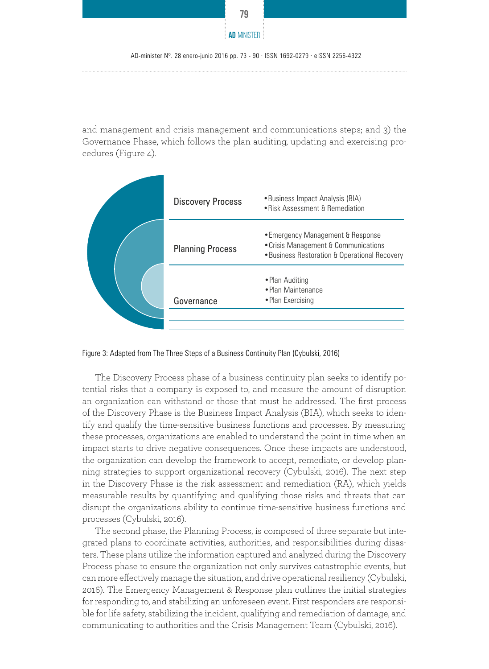

AD-minister Nº. 28 enero-junio 2016 pp. 73 - 90 · ISSN 1692-0279 · eISSN 2256-4322

and management and crisis management and communications steps; and 3) the Governance Phase, which follows the plan auditing, updating and exercising procedures (Figure 4).



Figure 3: Adapted from The Three Steps of a Business Continuity Plan (Cybulski, 2016)

The Discovery Process phase of a business continuity plan seeks to identify potential risks that a company is exposed to, and measure the amount of disruption an organization can withstand or those that must be addressed. The first process of the Discovery Phase is the Business Impact Analysis (BIA), which seeks to identify and qualify the time-sensitive business functions and processes. By measuring these processes, organizations are enabled to understand the point in time when an impact starts to drive negative consequences. Once these impacts are understood, the organization can develop the framework to accept, remediate, or develop planning strategies to support organizational recovery (Cybulski, 2016). The next step in the Discovery Phase is the risk assessment and remediation (RA), which yields measurable results by quantifying and qualifying those risks and threats that can disrupt the organizations ability to continue time-sensitive business functions and processes (Cybulski, 2016).

The second phase, the Planning Process, is composed of three separate but integrated plans to coordinate activities, authorities, and responsibilities during disasters. These plans utilize the information captured and analyzed during the Discovery Process phase to ensure the organization not only survives catastrophic events, but can more effectively manage the situation, and drive operational resiliency (Cybulski, 2016). The Emergency Management & Response plan outlines the initial strategies for responding to, and stabilizing an unforeseen event. First responders are responsible for life safety, stabilizing the incident, qualifying and remediation of damage, and communicating to authorities and the Crisis Management Team (Cybulski, 2016).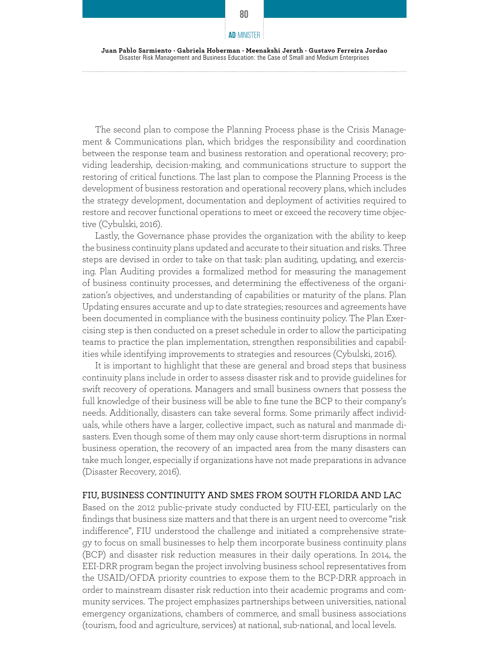The second plan to compose the Planning Process phase is the Crisis Management & Communications plan, which bridges the responsibility and coordination between the response team and business restoration and operational recovery; providing leadership, decision-making, and communications structure to support the restoring of critical functions. The last plan to compose the Planning Process is the development of business restoration and operational recovery plans, which includes the strategy development, documentation and deployment of activities required to restore and recover functional operations to meet or exceed the recovery time objective (Cybulski, 2016).

Lastly, the Governance phase provides the organization with the ability to keep the business continuity plans updated and accurate to their situation and risks. Three steps are devised in order to take on that task: plan auditing, updating, and exercising. Plan Auditing provides a formalized method for measuring the management of business continuity processes, and determining the effectiveness of the organization's objectives, and understanding of capabilities or maturity of the plans. Plan Updating ensures accurate and up to date strategies; resources and agreements have been documented in compliance with the business continuity policy. The Plan Exercising step is then conducted on a preset schedule in order to allow the participating teams to practice the plan implementation, strengthen responsibilities and capabilities while identifying improvements to strategies and resources (Cybulski, 2016).

It is important to highlight that these are general and broad steps that business continuity plans include in order to assess disaster risk and to provide guidelines for swift recovery of operations. Managers and small business owners that possess the full knowledge of their business will be able to fine tune the BCP to their company's needs. Additionally, disasters can take several forms. Some primarily affect individuals, while others have a larger, collective impact, such as natural and manmade disasters. Even though some of them may only cause short-term disruptions in normal business operation, the recovery of an impacted area from the many disasters can take much longer, especially if organizations have not made preparations in advance (Disaster Recovery, 2016).

## FIU, BUSINESS CONTINUITY AND SMES FROM SOUTH FLORIDA AND LAC

Based on the 2012 public-private study conducted by FIU-EEI, particularly on the findings that business size matters and that there is an urgent need to overcome "risk indifference", FIU understood the challenge and initiated a comprehensive strategy to focus on small businesses to help them incorporate business continuity plans (BCP) and disaster risk reduction measures in their daily operations. In 2014, the EEI-DRR program began the project involving business school representatives from the USAID/OFDA priority countries to expose them to the BCP-DRR approach in order to mainstream disaster risk reduction into their academic programs and community services. The project emphasizes partnerships between universities, national emergency organizations, chambers of commerce, and small business associations (tourism, food and agriculture, services) at national, sub-national, and local levels.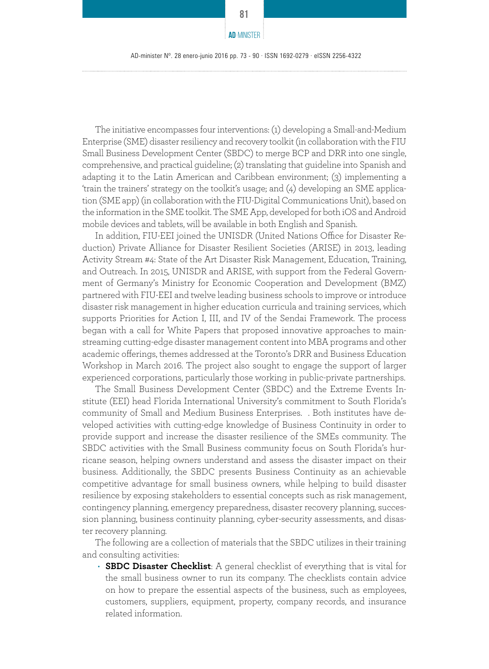**81**

The initiative encompasses four interventions: (1) developing a Small-and-Medium Enterprise (SME) disaster resiliency and recovery toolkit (in collaboration with the FIU Small Business Development Center (SBDC) to merge BCP and DRR into one single, comprehensive, and practical guideline; (2) translating that guideline into Spanish and adapting it to the Latin American and Caribbean environment; (3) implementing a 'train the trainers' strategy on the toolkit's usage; and (4) developing an SME application (SME app) (in collaboration with the FIU-Digital Communications Unit), based on the information in the SME toolkit. The SME App, developed for both iOS and Android mobile devices and tablets, will be available in both English and Spanish.

In addition, FIU-EEI joined the UNISDR (United Nations Office for Disaster Reduction) Private Alliance for Disaster Resilient Societies (ARISE) in 2013, leading Activity Stream #4: State of the Art Disaster Risk Management, Education, Training, and Outreach. In 2015, UNISDR and ARISE, with support from the Federal Government of Germany's Ministry for Economic Cooperation and Development (BMZ) partnered with FIU-EEI and twelve leading business schools to improve or introduce disaster risk management in higher education curricula and training services, which supports Priorities for Action I, III, and IV of the Sendai Framework. The process began with a call for White Papers that proposed innovative approaches to mainstreaming cutting-edge disaster management content into MBA programs and other academic offerings, themes addressed at the Toronto's DRR and Business Education Workshop in March 2016. The project also sought to engage the support of larger experienced corporations, particularly those working in public-private partnerships.

The Small Business Development Center (SBDC) and the Extreme Events Institute (EEI) head Florida International University's commitment to South Florida's community of Small and Medium Business Enterprises. . Both institutes have developed activities with cutting-edge knowledge of Business Continuity in order to provide support and increase the disaster resilience of the SMEs community. The SBDC activities with the Small Business community focus on South Florida's hurricane season, helping owners understand and assess the disaster impact on their business. Additionally, the SBDC presents Business Continuity as an achievable competitive advantage for small business owners, while helping to build disaster resilience by exposing stakeholders to essential concepts such as risk management, contingency planning, emergency preparedness, disaster recovery planning, succession planning, business continuity planning, cyber-security assessments, and disaster recovery planning.

The following are a collection of materials that the SBDC utilizes in their training and consulting activities:

• **SBDC Disaster Checklist**: A general checklist of everything that is vital for the small business owner to run its company. The checklists contain advice on how to prepare the essential aspects of the business, such as employees, customers, suppliers, equipment, property, company records, and insurance related information.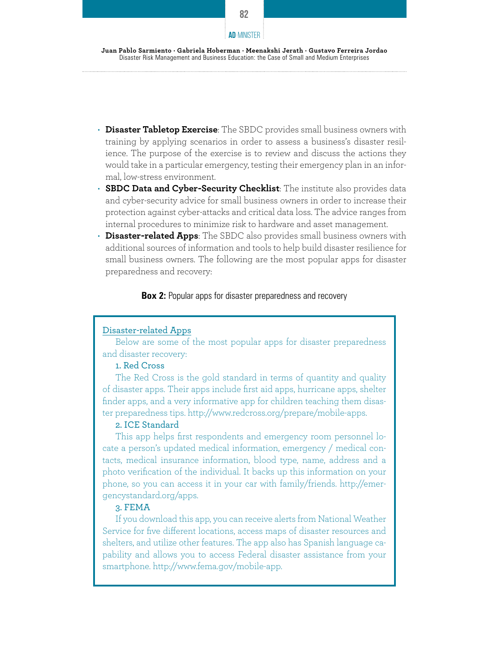

- **Disaster Tabletop Exercise**: The SBDC provides small business owners with training by applying scenarios in order to assess a business's disaster resilience. The purpose of the exercise is to review and discuss the actions they would take in a particular emergency, testing their emergency plan in an informal, low-stress environment.
- **SBDC Data and Cyber-Security Checklist**: The institute also provides data and cyber-security advice for small business owners in order to increase their protection against cyber-attacks and critical data loss. The advice ranges from internal procedures to minimize risk to hardware and asset management.
- **Disaster-related Apps**: The SBDC also provides small business owners with additional sources of information and tools to help build disaster resilience for small business owners. The following are the most popular apps for disaster preparedness and recovery:

#### **Box 2:** Popular apps for disaster preparedness and recovery

# Disaster-related Apps

Below are some of the most popular apps for disaster preparedness and disaster recovery:

# 1. Red Cross

The Red Cross is the gold standard in terms of quantity and quality of disaster apps. Their apps include first aid apps, hurricane apps, shelter finder apps, and a very informative app for children teaching them disaster preparedness tips. http://www.redcross.org/prepare/mobile-apps.

#### 2. ICE Standard

This app helps first respondents and emergency room personnel locate a person's updated medical information, emergency / medical contacts, medical insurance information, blood type, name, address and a photo verification of the individual. It backs up this information on your phone, so you can access it in your car with family/friends. http://emergencystandard.org/apps.

# 3. FEMA

If you download this app, you can receive alerts from National Weather Service for five different locations, access maps of disaster resources and shelters, and utilize other features. The app also has Spanish language capability and allows you to access Federal disaster assistance from your smartphone. http://www.fema.gov/mobile-app.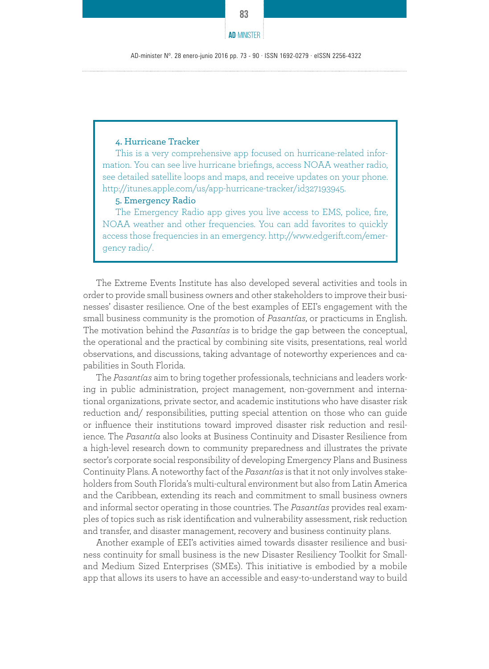AD-minister Nº. 28 enero-junio 2016 pp. 73 - 90 · ISSN 1692-0279 · eISSN 2256-4322

# 4. Hurricane Tracker

This is a very comprehensive app focused on hurricane-related information. You can see live hurricane briefings, access NOAA weather radio, see detailed satellite loops and maps, and receive updates on your phone. http://itunes.apple.com/us/app-hurricane-tracker/id327193945.

#### 5. Emergency Radio

The Emergency Radio app gives you live access to EMS, police, fire, NOAA weather and other frequencies. You can add favorites to quickly access those frequencies in an emergency. http://www.edgerift.com/emergency radio/.

The Extreme Events Institute has also developed several activities and tools in order to provide small business owners and other stakeholders to improve their businesses' disaster resilience. One of the best examples of EEI's engagement with the small business community is the promotion of *Pasantías*, or practicums in English. The motivation behind the *Pasantías* is to bridge the gap between the conceptual, the operational and the practical by combining site visits, presentations, real world observations, and discussions, taking advantage of noteworthy experiences and capabilities in South Florida.

The *Pasantías* aim to bring together professionals, technicians and leaders working in public administration, project management, non-government and international organizations, private sector, and academic institutions who have disaster risk reduction and/ responsibilities, putting special attention on those who can guide or influence their institutions toward improved disaster risk reduction and resilience. The *Pasantía* also looks at Business Continuity and Disaster Resilience from a high-level research down to community preparedness and illustrates the private sector's corporate social responsibility of developing Emergency Plans and Business Continuity Plans. A noteworthy fact of the *Pasantías* is that it not only involves stakeholders from South Florida's multi-cultural environment but also from Latin America and the Caribbean, extending its reach and commitment to small business owners and informal sector operating in those countries. The *Pasantías* provides real examples of topics such as risk identification and vulnerability assessment, risk reduction and transfer, and disaster management, recovery and business continuity plans.

Another example of EEI's activities aimed towards disaster resilience and business continuity for small business is the new Disaster Resiliency Toolkit for Smalland Medium Sized Enterprises (SMEs). This initiative is embodied by a mobile app that allows its users to have an accessible and easy-to-understand way to build

**AD**-MINISTER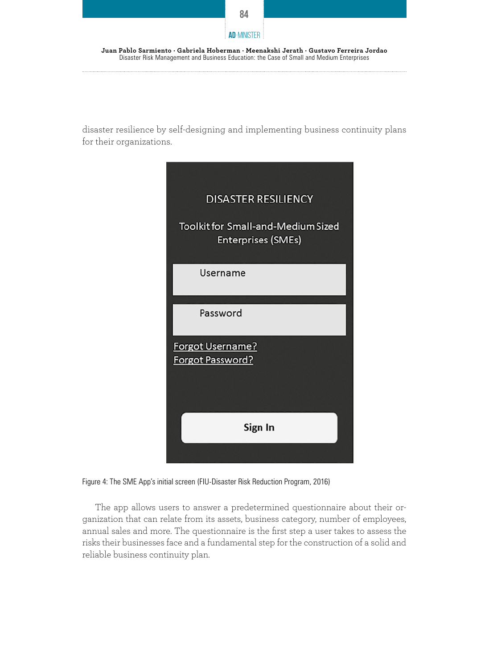

disaster resilience by self-designing and implementing business continuity plans for their organizations.

Disaster Risk Management and Business Education: the Case of Small and Medium Enterprises

| <b>DISASTER RESILIENCY</b><br><b>Toolkit for Small-and-Medium Sized</b><br><b>Enterprises (SMEs)</b> |
|------------------------------------------------------------------------------------------------------|
| Username                                                                                             |
| Password                                                                                             |
| <b>Forgot Username?</b><br><b>Forgot Password?</b>                                                   |
| Sign In                                                                                              |

Figure 4: The SME App's initial screen (FIU-Disaster Risk Reduction Program, 2016)

The app allows users to answer a predetermined questionnaire about their organization that can relate from its assets, business category, number of employees, annual sales and more. The questionnaire is the first step a user takes to assess the risks their businesses face and a fundamental step for the construction of a solid and reliable business continuity plan.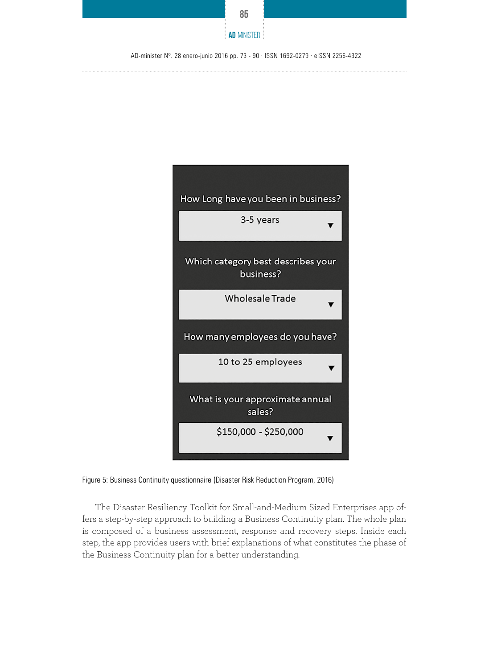



Figure 5: Business Continuity questionnaire (Disaster Risk Reduction Program, 2016)

The Disaster Resiliency Toolkit for Small-and-Medium Sized Enterprises app offers a step-by-step approach to building a Business Continuity plan. The whole plan is composed of a business assessment, response and recovery steps. Inside each step, the app provides users with brief explanations of what constitutes the phase of the Business Continuity plan for a better understanding.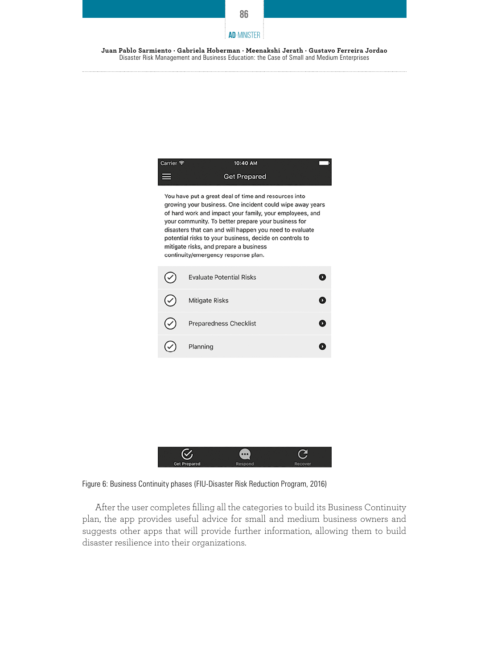

**Juan Pablo Sarmiento · Gabriela Hoberman · Meenakshi Jerath · Gustavo Ferreira Jordao**  Disaster Risk Management and Business Education: the Case of Small and Medium Enterprises

| Carrier <sup>•</sup>                                                                                                                                                                                                                                                                                                                                                                                                                        | 10:40 AM                        |   |  |
|---------------------------------------------------------------------------------------------------------------------------------------------------------------------------------------------------------------------------------------------------------------------------------------------------------------------------------------------------------------------------------------------------------------------------------------------|---------------------------------|---|--|
|                                                                                                                                                                                                                                                                                                                                                                                                                                             | <b>Get Prepared</b>             |   |  |
| You have put a great deal of time and resources into<br>growing your business. One incident could wipe away years<br>of hard work and impact your family, your employees, and<br>your community. To better prepare your business for<br>disasters that can and will happen you need to evaluate<br>potential risks to your business, decide on controls to<br>mitigate risks, and prepare a business<br>continuity/emergency response plan. |                                 |   |  |
|                                                                                                                                                                                                                                                                                                                                                                                                                                             | <b>Evaluate Potential Risks</b> | D |  |
|                                                                                                                                                                                                                                                                                                                                                                                                                                             | <b>Mitigate Risks</b>           | O |  |
|                                                                                                                                                                                                                                                                                                                                                                                                                                             | <b>Preparedness Checklist</b>   | 0 |  |
|                                                                                                                                                                                                                                                                                                                                                                                                                                             | Planning                        | D |  |
|                                                                                                                                                                                                                                                                                                                                                                                                                                             |                                 |   |  |
|                                                                                                                                                                                                                                                                                                                                                                                                                                             |                                 |   |  |
|                                                                                                                                                                                                                                                                                                                                                                                                                                             |                                 |   |  |
|                                                                                                                                                                                                                                                                                                                                                                                                                                             |                                 |   |  |

Figure 6: Business Continuity phases (FIU-Disaster Risk Reduction Program, 2016)

 $\heartsuit$ 

Get Prepare

After the user completes filling all the categories to build its Business Continuity plan, the app provides useful advice for small and medium business owners and suggests other apps that will provide further information, allowing them to build disaster resilience into their organizations.

 $\bigoplus$ 

C

Recov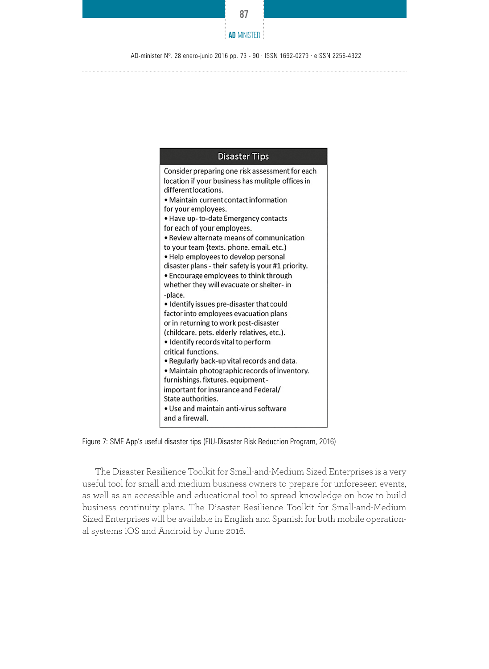



Figure 7: SME App's useful disaster tips (FIU-Disaster Risk Reduction Program, 2016)

The Disaster Resilience Toolkit for Small-and-Medium Sized Enterprises is a very useful tool for small and medium business owners to prepare for unforeseen events, as well as an accessible and educational tool to spread knowledge on how to build business continuity plans. The Disaster Resilience Toolkit for Small-and-Medium Sized Enterprises will be available in English and Spanish for both mobile operational systems iOS and Android by June 2016.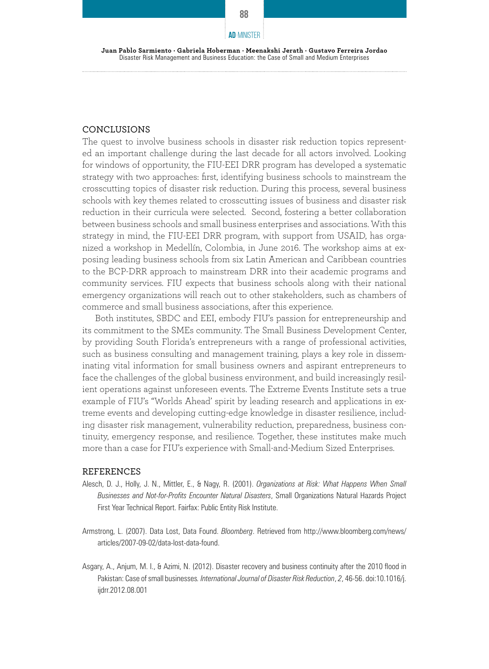#### **Juan Pablo Sarmiento · Gabriela Hoberman · Meenakshi Jerath · Gustavo Ferreira Jordao**  Disaster Risk Management and Business Education: the Case of Small and Medium Enterprises

#### CONCLUSIONS

The quest to involve business schools in disaster risk reduction topics represented an important challenge during the last decade for all actors involved. Looking for windows of opportunity, the FIU-EEI DRR program has developed a systematic strategy with two approaches: first, identifying business schools to mainstream the crosscutting topics of disaster risk reduction. During this process, several business schools with key themes related to crosscutting issues of business and disaster risk reduction in their curricula were selected. Second, fostering a better collaboration between business schools and small business enterprises and associations. With this strategy in mind, the FIU-EEI DRR program, with support from USAID, has organized a workshop in Medellín, Colombia, in June 2016. The workshop aims at exposing leading business schools from six Latin American and Caribbean countries to the BCP-DRR approach to mainstream DRR into their academic programs and community services. FIU expects that business schools along with their national emergency organizations will reach out to other stakeholders, such as chambers of commerce and small business associations, after this experience.

Both institutes, SBDC and EEI, embody FIU's passion for entrepreneurship and its commitment to the SMEs community. The Small Business Development Center, by providing South Florida's entrepreneurs with a range of professional activities, such as business consulting and management training, plays a key role in disseminating vital information for small business owners and aspirant entrepreneurs to face the challenges of the global business environment, and build increasingly resilient operations against unforeseen events. The Extreme Events Institute sets a true example of FIU's "Worlds Ahead' spirit by leading research and applications in extreme events and developing cutting-edge knowledge in disaster resilience, including disaster risk management, vulnerability reduction, preparedness, business continuity, emergency response, and resilience. Together, these institutes make much more than a case for FIU's experience with Small-and-Medium Sized Enterprises.

#### REFERENCES

- Alesch, D. J., Holly, J. N., Mittler, E., & Nagy, R. (2001). *Organizations at Risk: What Happens When Small Businesses and Not-for-Profits Encounter Natural Disasters*, Small Organizations Natural Hazards Project First Year Technical Report. Fairfax: Public Entity Risk Institute.
- Armstrong, L. (2007). Data Lost, Data Found. *Bloomberg*. Retrieved from http://www.bloomberg.com/news/ articles/2007-09-02/data-lost-data-found.
- Asgary, A., Anjum, M. I., & Azimi, N. (2012). Disaster recovery and business continuity after the 2010 flood in Pakistan: Case of small businesses*. International Journal of Disaster Risk Reduction*, *2*, 46-56. doi:10.1016/j. ijdrr.2012.08.001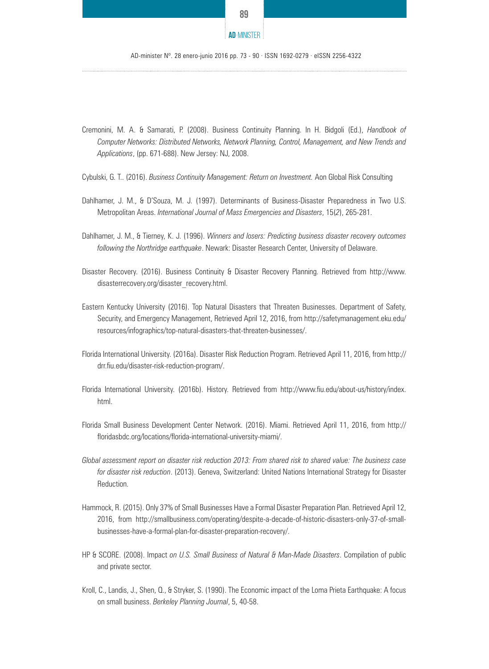

#### **AD**-MINISTER

AD-minister Nº. 28 enero-junio 2016 pp. 73 - 90 · ISSN 1692-0279 · eISSN 2256-4322

- Cremonini, M. A. & Samarati, P. (2008). Business Continuity Planning. In H. Bidgoli (Ed.), *Handbook of Computer Networks: Distributed Networks, Network Planning, Control, Management, and New Trends and Applications*, (pp. 671-688). New Jersey: NJ, 2008.
- Cybulski, G. T.. (2016). *Business Continuity Management: Return on Investment.* Aon Global Risk Consulting
- Dahlhamer, J. M., & D'Souza, M. J. (1997). Determinants of Business-Disaster Preparedness in Two U.S. Metropolitan Areas. *International Journal of Mass Emergencies and Disasters*, 15(*2*), 265-281.
- Dahlhamer, J. M., & Tierney, K. J. (1996). *Winners and losers: Predicting business disaster recovery outcomes following the Northridge earthquake*. Newark: Disaster Research Center, University of Delaware.
- Disaster Recovery. (2016). Business Continuity & Disaster Recovery Planning. Retrieved from http://www. disasterrecovery.org/disaster\_recovery.html.
- Eastern Kentucky University (2016). Top Natural Disasters that Threaten Businesses. Department of Safety, Security, and Emergency Management, Retrieved April 12, 2016, from http://safetymanagement.eku.edu/ resources/infographics/top-natural-disasters-that-threaten-businesses/.
- Florida International University. (2016a). Disaster Risk Reduction Program. Retrieved April 11, 2016, from http:// drr.fiu.edu/disaster-risk-reduction-program/.
- Florida International University. (2016b). History. Retrieved from http://www.fiu.edu/about-us/history/index. html.
- Florida Small Business Development Center Network. (2016). Miami. Retrieved April 11, 2016, from http:// floridasbdc.org/locations/florida-international-university-miami/.
- *Global assessment report on disaster risk reduction 2013: From shared risk to shared value: The business case for disaster risk reduction*. (2013). Geneva, Switzerland: United Nations International Strategy for Disaster Reduction.
- Hammock, R. (2015). Only 37% of Small Businesses Have a Formal Disaster Preparation Plan. Retrieved April 12, 2016, from http://smallbusiness.com/operating/despite-a-decade-of-historic-disasters-only-37-of-smallbusinesses-have-a-formal-plan-for-disaster-preparation-recovery/.
- HP & SCORE. (2008). Impact *on U.S. Small Business of Natural & Man-Made Disasters*. Compilation of public and private sector.
- Kroll, C., Landis, J., Shen, Q., & Stryker, S. (1990). The Economic impact of the Loma Prieta Earthquake: A focus on small business. *Berkeley Planning Journal*, 5, 40-58.